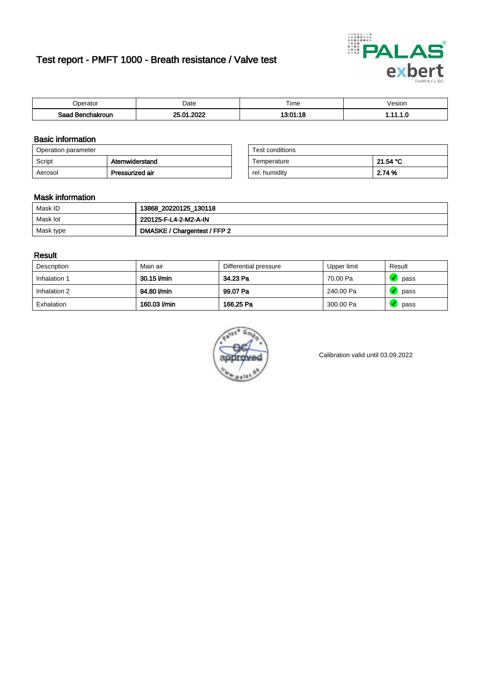# Test report - PMFT 1000 - Breath resistance / Valve test



| berator                      | Date                 | $- \cdot$<br>ime | /esion |
|------------------------------|----------------------|------------------|--------|
| Saad<br><b>chakroun</b><br>. | 2022<br>oε<br>$\sim$ | ,,,,,, <i>,</i>  | .      |

### Basic information

| Operation parameter |                 | Test conditions |          |
|---------------------|-----------------|-----------------|----------|
| Script              | Atemwiderstand  | Temperature     | 21.54 °C |
| Aerosol             | Pressurized air | rel. humidity   | 2.74 %   |

| Test conditions |          |
|-----------------|----------|
| Temperature     | 21.54 °C |
| rel. humidity   | 2.74 %   |

#### Mask information

| Mask ID   | 13868_20220125_130118        |
|-----------|------------------------------|
| Mask lot  | 220125-F-L4-2-M2-A-IN        |
| Mask type | DMASKE / Chargentest / FFP 2 |

### Result

| Description  | Main air     | Differential pressure | Upper limit | Result |
|--------------|--------------|-----------------------|-------------|--------|
| Inhalation 1 | 30.15 l/min  | 34.23 Pa              | 70.00 Pa    | pass   |
| Inhalation 2 | 94.80 l/min  | 99.07 Pa              | 240.00 Pa   | pass   |
| Exhalation   | 160.03 l/min | 166.25 Pa             | 300.00 Pa   | pass   |



Calibration valid until 03.09.2022